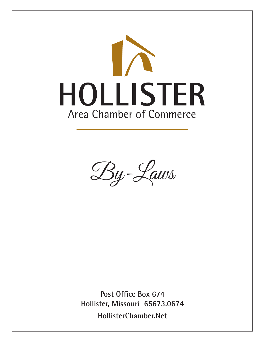

By-Laws

**Post Office Box 674 Hollister, Missouri 65673.0674 HollisterChamber.Net**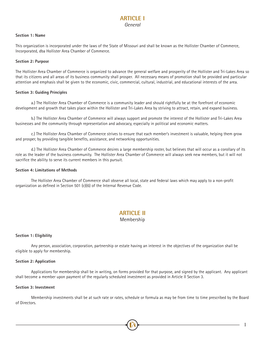## **ARTICLE I** *General*

#### **Section 1: Name**

This organization is incorporated under the laws of the State of Missouri and shall be known as the Hollister Chamber of Commerce, Incorporated, dba Hollister Area Chamber of Commerce.

#### **Section 2: Purpose**

The Hollister Area Chamber of Commerce is organized to advance the general welfare and prosperity of the Hollister and Tri-Lakes Area so that its citizens and all areas of its business community shall prosper. All necessary means of promotion shall be provided and particular attention and emphasis shall be given to the economic, civic, commercial, cultural, industrial, and educational interests of the area.

#### **Section 3: Guiding Principles**

a.) The Hollister Area Chamber of Commerce is a community leader and should rightfully be at the forefront of economic development and growth that takes place within the Hollister and Tri-Lakes Area by striving to attract, retain, and expand business.

b.) The Hollister Area Chamber of Commerce will always support and promote the interest of the Hollister and Tri-Lakes Area businesses and the community through representation and advocacy, especially in political and economic matters.

c.) The Hollister Area Chamber of Commerce strives to ensure that each member's investment is valuable, helping them grow and prosper, by providing tangible benefits, assistance, and networking opportunities.

d.) The Hollister Area Chamber of Commerce desires a large membership roster, but believes that will occur as a corollary of its role as the leader of the business community. The Hollister Area Chamber of Commerce will always seek new members, but it will not sacrifice the ability to serve its current members in this pursuit.

#### **Section 4: Limitations of Methods**

The Hollister Area Chamber of Commerce shall observe all local, state and federal laws which may apply to a non-profit organization as defined in Section 501 (c)(6) of the Internal Revenue Code.

# **ARTICLE II**

### Membership

#### **Section 1: Eligibility**

Any person, association, corporation, partnership or estate having an interest in the objectives of the organization shall be eligible to apply for membership.

#### **Section 2: Application**

Applications for membership shall be in writing, on forms provided for that purpose, and signed by the applicant. Any applicant shall become a member upon payment of the regularly scheduled investment as provided in Article II Section 3.

#### **Section 3: Investment**

Membership investments shall be at such rate or rates, schedule or formula as may be from time to time prescribed by the Board of Directors.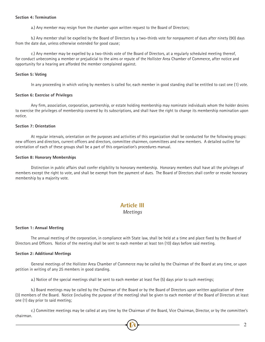#### **Section 4: Termination**

a.) Any member may resign from the chamber upon written request to the Board of Directors;

b.) Any member shall be expelled by the Board of Directors by a two-thirds vote for nonpayment of dues after ninety (90) days from the date due, unless otherwise extended for good cause;

c.) Any member may be expelled by a two-thirds vote of the Board of Directors, at a regularly scheduled meeting thereof, for conduct unbecoming a member or prejudicial to the aims or repute of the Hollister Area Chamber of Commerce, after notice and opportunity for a hearing are afforded the member complained against.

#### **Section 5: Voting**

In any proceeding in which voting by members is called for, each member in good standing shall be entitled to cast one (1) vote.

#### **Section 6: Exercise of Privileges**

Any firm, association, corporation, partnership, or estate holding membership may nominate individuals whom the holder desires to exercise the privileges of membership covered by its subscriptions, and shall have the right to change its membership nomination upon notice.

#### **Section 7: Orientation**

At regular intervals, orientation on the purposes and activities of this organization shall be conducted for the following groups: new officers and directors, current officers and directors, committee chairmen, committees and new members. A detailed outline for orientation of each of these groups shall be a part of this organization's procedures manual.

#### **Section 8: Honorary Memberships**

Distinction in public affairs shall confer eligibility to honorary membership. Honorary members shall have all the privileges of members except the right to vote, and shall be exempt from the payment of dues. The Board of Directors shall confer or revoke honorary membership by a majority vote.

# **Article III**

### *Meetings*

#### **Section 1: Annual Meeting**

The annual meeting of the corporation, in compliance with State law, shall be held at a time and place fixed by the Board of Directors and Officers. Notice of the meeting shall be sent to each member at least ten (10) days before said meeting.

#### **Section 2: Additional Meetings**

General meetings of the Hollister Area Chamber of Commerce may be called by the Chairman of the Board at any time, or upon petition in writing of any 25 members in good standing.

a.) Notice of the special meetings shall be sent to each member at least five (5) days prior to such meetings;

b.) Board meetings may be called by the Chairman of the Board or by the Board of Directors upon written application of three (3) members of the Board. Notice (including the purpose of the meeting) shall be given to each member of the Board of Directors at least one (1) day prior to said meeting;

c.) Committee meetings may be called at any time by the Chairman of the Board, Vice Chairman, Director, or by the committee's chairman.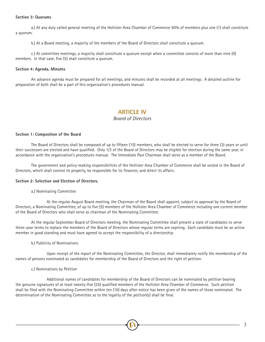#### **Section 3: Quorums**

a.) At any duly called general meeting of the Hollister Area Chamber of Commerce 50% of members plus one (1) shall constitute a quorum.

b.) At a Board meeting, a majority of the members of the Board of Directors shall constitute a quorum.

c.) At committee meetings, a majority shall constitute a quorum except when a committee consists of more than nine (9) members. In that case, five (5) shall constitute a quorum.

#### **Section 4: Agenda, Minutes**

An advance agenda must be prepared for all meetings, and minutes shall be recorded at all meetings. A detailed outline for preparation of both shall be a part of this organization's procedures manual.

# **ARTICLE IV**

### *Board of Directors*

#### **Section 1: Composition of the Board**

The Board of Directors shall be composed of up to fifteen (15) members, who shall be elected to serve for three (3) years or until their successors are elected and have qualified. Only 1/3 of the Board of Directors may be eligible for election during the same year, in accordance with the organization's procedures manual. The Immediate Past Chairman shall serve as a member of the Board.

The government and policy-making responsibilities of the Hollister Area Chamber of Commerce shall be vested in the Board of Directors, which shall control its property, be responsible for its finances, and direct its affairs.

#### **Section 2: Selection and Election of Directors.**

a.) Nominating Committee

 At the regular August Board meeting, the Chairman of the Board shall appoint, subject to approval by the Board of Directors, a Nominating Committee, of up to five (5) members of the Hollister Area Chamber of Commerce including one current member of the Board of Directors who shall serve as chairman of the Nominating Committee.

At the regular September Board of Directors meeting, the Nominating Committee shall present a slate of candidates to serve three-year terms to replace the members of the Board of Directors whose regular terms are expiring. Each candidate must be an active member in good standing and must have agreed to accept the responsibility of a directorship.

#### b.) Publicity of Nominations

 Upon receipt of the report of the Nominating Committee, the Director, shall immediately notify the membership of the names of persons nominated as candidates for membership of the Board of Directors and the right of petition.

#### c.) Nominations by Petition

 Additional names of candidates for membership of the Board of Directors can be nominated by petition bearing the genuine signatures of at least twenty-five (25) qualified members of the Hollister Area Chamber of Commerce. Such petition shall be filed with the Nominating Committee within ten (10) days after notice has been given of the names of those nominated. The determination of the Nominating Committee as to the legality of the petition(s) shall be final.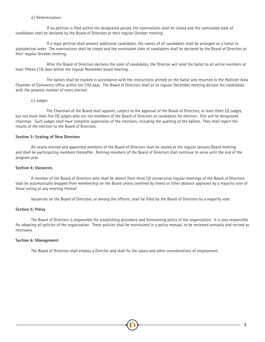#### d.) Determination.

 If no petition is filed within the designated period, the nominations shall be closed and the nominated slate of candidates shall be declared by the Board of Directors at their regular October meeting.

 If a legal petition shall present additional candidates, the names of all candidates shall be arranged on a ballot in alphabetical order. The nominations shall be closed and the nominated slate of candidates shall be declared by the Board of Directors at their regular October meeting.

 After the Board of Directors declares the slate of candidates, the Director will send the ballot to all active members at least fifteen (15) days before the regular November board meeting.

 The ballots shall be marked in accordance with the instructions printed on the ballot and returned to the Hollister Area Chamber of Commerce office within ten (10) days. The Board of Directors shall at its regular December meeting declare the candidates with the greatest number of votes elected.

#### e.) Judges

 The Chairman of the Board shall appoint, subject to the approval of the Board of Directors, at least three (3) judges, but not more than five (5) judges who are not members of the Board of Directors or candidates for election. One will be designated chairman. Such judges shall have complete supervision of the elections, including the auditing of the ballots. They shall report the results of the election to the Board of Directors.

#### **Section 3: Seating of New Directors**

All newly-elected and appointed members of the Board of Directors shall be seated at the regular January Board meeting and shall be participating members thereafter. Retiring members of the Board of Directors shall continue to serve until the end of the program year.

#### **Section 4: Vacancies**

A member of the Board of Directors who shall be absent from three (3) consecutive regular meetings of the Board of Directors shall be automatically dropped from membership on the Board unless confined by illness or other absence approved by a majority vote of those voting at any meeting thereof.

Vacancies on the Board of Directors, or among the officers, shall be filled by the Board of Directors by a majority vote.

#### **Section 5: Policy**

The Board of Directors is responsible for establishing procedure and formulating policy of the organization. It is also responsible for adopting all policies of the organization. These policies shall be maintained in a policy manual, to be reviewed annually and revised as necessary.

#### **Section 6: Management**

The Board of Directors shall employ a Director and shall fix the salary and other considerations of employment.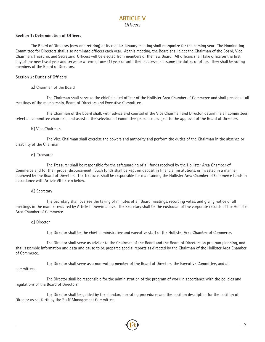## **ARTICLE V** *Officers*

#### **Section 1: Determination of Officers**

The Board of Directors (new and retiring) at its regular January meeting shall reorganize for the coming year. The Nominating Committee for Directors shall also nominate officers each year. At this meeting, the Board shall elect the Chairman of the Board, Vice Chairman, Treasurer, and Secretary. Officers will be elected from members of the new Board. All officers shall take office on the first day of the new fiscal year and serve for a term of one (1) year or until their successors assume the duties of office. They shall be voting members of the Board of Directors.

#### **Section 2: Duties of Officers**

#### a.) Chairman of the Board

 The Chairman shall serve as the chief elected officer of the Hollister Area Chamber of Commerce and shall preside at all meetings of the membership, Board of Directors and Executive Committee.

 The Chairman of the Board shall, with advice and counsel of the Vice Chairman and Director, determine all committees, select all committee chairmen, and assist in the selection of committee personnel, subject to the approval of the Board of Directors.

#### b.) Vice Chairman

 The Vice Chairman shall exercise the powers and authority and perform the duties of the Chairman in the absence or disability of the Chairman.

#### c.) Treasurer

 The Treasurer shall be responsible for the safeguarding of all funds received by the Hollister Area Chamber of Commerce and for their proper disbursement. Such funds shall be kept on deposit in financial institutions, or invested in a manner approved by the Board of Directors. The Treasurer shall be responsible for maintaining the Hollister Area Chamber of Commerce funds in accordance with Article VII herein below.

#### d.) Secretary

 The Secretary shall oversee the taking of minutes of all Board meetings, recording votes, and giving notice of all meetings in the manner required by Article III herein above. The Secretary shall be the custodian of the corporate records of the Hollister Area Chamber of Commerce.

#### e.) Director

The Director shall be the chief administrative and executive staff of the Hollister Area Chamber of Commerce.

 The Director shall serve as advisor to the Chairman of the Board and the Board of Directors on program planning, and shall assemble information and data and cause to be prepared special reports as directed by the Chairman of the Hollister Area Chamber of Commerce.

 The Director shall serve as a non-voting member of the Board of Directors, the Executive Committee, and all committees.

 The Director shall be responsible for the administration of the program of work in accordance with the policies and regulations of the Board of Directors.

 The Director shall be guided by the standard operating procedures and the position description for the position of Director as set forth by the Staff Management Committee.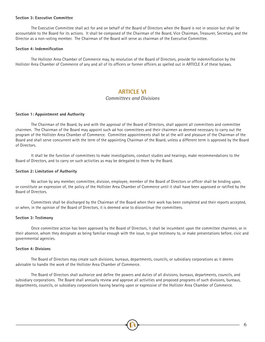#### **Section 3: Executive Committee**

The Executive Committee shall act for and on behalf of the Board of Directors when the Board is not in session but shall be accountable to the Board for its actions. It shall be composed of the Chairman of the Board, Vice Chairman, Treasurer, Secretary, and the Director as a non-voting member. The Chairman of the Board will serve as chairman of the Executive Committee.

#### **Section 4: Indemnification**

The Hollister Area Chamber of Commerce may, by resolution of the Board of Directors, provide for indemnification by the Hollister Area Chamber of Commerce of any and all of its officers or former officers as spelled out in ARTICLE X of these bylaws.

## **ARTICLE VI**

### *Committees and Divisions*

#### **Section 1: Appointment and Authority**

The Chairman of the Board, by and with the approval of the Board of Directors, shall appoint all committees and committee chairmen. The Chairman of the Board may appoint such ad hoc committees and their chairmen as deemed necessary to carry out the program of the Hollister Area Chamber of Commerce. Committee appointments shall be at the will and pleasure of the Chairman of the Board and shall serve concurrent with the term of the appointing Chairman of the Board, unless a different term is approved by the Board of Directors.

It shall be the function of committees to make investigations, conduct studies and hearings, make recommendations to the Board of Directors, and to carry on such activities as may be delegated to them by the Board.

#### **Section 2: Limitation of Authority**

No action by any member, committee, division, employee, member of the Board of Directors or officer shall be binding upon, or constitute an expression of, the policy of the Hollister Area Chamber of Commerce until it shall have been approved or ratified by the Board of Directors.

Committees shall be discharged by the Chairman of the Board when their work has been completed and their reports accepted, or when, in the opinion of the Board of Directors, it is deemed wise to discontinue the committees.

#### **Section 3: Testimony**

Once committee action has been approved by the Board of Directors, it shall be incumbent upon the committee chairmen, or in their absence, whom they designate as being familiar enough with the issue, to give testimony to, or make presentations before, civic and governmental agencies.

#### **Section 4: Divisions**

The Board of Directors may create such divisions, bureaus, departments, councils, or subsidiary corporations as it deems advisable to handle the work of the Hollister Area Chamber of Commerce.

The Board of Directors shall authorize and define the powers and duties of all divisions, bureaus, departments, councils, and subsidiary corporations. The Board shall annually review and approve all activities and proposed programs of such divisions, bureaus, departments, councils, or subsidiary corporations having bearing upon or expressive of the Hollister Area Chamber of Commerce.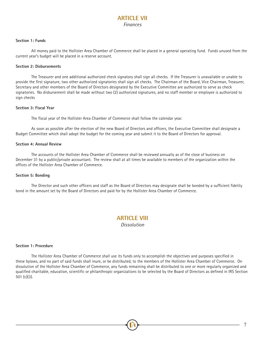# **ARTICLE VII** *Finances*

#### **Section 1: Funds**

All money paid to the Hollister Area Chamber of Commerce shall be placed in a general operating fund. Funds unused from the current year's budget will be placed in a reserve account.

#### **Section 2: Disbursements**

The Treasurer and one additional authorized check signatory shall sign all checks. If the Treasurer is unavailable or unable to provide the first signature, two other authorized signatories shall sign all checks. The Chairman of the Board, Vice Chairman, Treasurer, Secretary and other members of the Board of Directors designated by the Executive Committee are authorized to serve as check signatories. No disbursement shall be made without two (2) authorized signatures, and no staff member or employee is authorized to sign checks

#### **Section 3: Fiscal Year**

The fiscal year of the Hollister Area Chamber of Commerce shall follow the calendar year.

As soon as possible after the election of the new Board of Directors and officers, the Executive Committee shall designate a Budget Committee which shall adopt the budget for the coming year and submit it to the Board of Directors for approval.

#### **Section 4: Annual Review**

The accounts of the Hollister Area Chamber of Commerce shall be reviewed annually as of the close of business on December 31 by a public/private accountant. The review shall at all times be available to members of the organization within the offices of the Hollister Area Chamber of Commerce.

#### **Section 5: Bonding**

The Director and such other officers and staff as the Board of Directors may designate shall be bonded by a sufficient fidelity bond in the amount set by the Board of Directors and paid for by the Hollister Area Chamber of Commerce.

### **ARTICLE VIII** *Dissolution*

#### **Section 1: Procedure**

The Hollister Area Chamber of Commerce shall use its funds only to accomplish the objectives and purposes specified in these bylaws, and no part of said funds shall inure, or be distributed, to the members of the Hollister Area Chamber of Commerce. On dissolution of the Hollister Area Chamber of Commerce, any funds remaining shall be distributed to one or more regularly organized and qualified charitable, education, scientific or philanthropic organizations to be selected by the Board of Directors as defined in IRS Section 501 (c)(3).